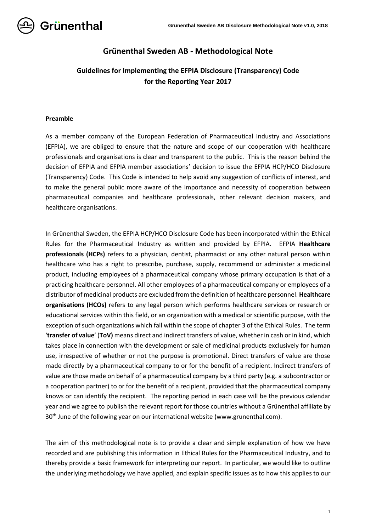

# **Grünenthal Sweden AB - Methodological Note**

# **Guidelines for Implementing the EFPIA Disclosure (Transparency) Code for the Reporting Year 2017**

## **Preamble**

As a member company of the European Federation of Pharmaceutical Industry and Associations (EFPIA), we are obliged to ensure that the nature and scope of our cooperation with healthcare professionals and organisations is clear and transparent to the public. This is the reason behind the decision of EFPIA and EFPIA member associations' decision to issue the EFPIA HCP/HCO Disclosure (Transparency) Code. This Code is intended to help avoid any suggestion of conflicts of interest, and to make the general public more aware of the importance and necessity of cooperation between pharmaceutical companies and healthcare professionals, other relevant decision makers, and healthcare organisations.

In Grünenthal Sweden, the EFPIA HCP/HCO Disclosure Code has been incorporated within the Ethical Rules for the Pharmaceutical Industry as written and provided by EFPIA. EFPIA **Healthcare professionals (HCPs)** refers to a physician, dentist, pharmacist or any other natural person within healthcare who has a right to prescribe, purchase, supply, recommend or administer a medicinal product, including employees of a pharmaceutical company whose primary occupation is that of a practicing healthcare personnel. All other employees of a pharmaceutical company or employees of a distributor of medicinal products are excluded from the definition of healthcare personnel. **Healthcare organisations (HCOs)** refers to any legal person which performs healthcare services or research or educational services within this field, or an organization with a medical or scientific purpose, with the exception of such organizations which fall within the scope of chapter 3 of the Ethical Rules. The term '**transfer of value**' (**ToV)** means direct and indirect transfers of value, whether in cash or in kind, which takes place in connection with the development or sale of medicinal products exclusively for human use, irrespective of whether or not the purpose is promotional. Direct transfers of value are those made directly by a pharmaceutical company to or for the benefit of a recipient. Indirect transfers of value are those made on behalf of a pharmaceutical company by a third party (e.g. a subcontractor or a cooperation partner) to or for the benefit of a recipient, provided that the pharmaceutical company knows or can identify the recipient. The reporting period in each case will be the previous calendar year and we agree to publish the relevant report for those countries without a Grünenthal affiliate by 30<sup>th</sup> June of the following year on our international website (www.grunenthal.com).

The aim of this methodological note is to provide a clear and simple explanation of how we have recorded and are publishing this information in Ethical Rules for the Pharmaceutical Industry, and to thereby provide a basic framework for interpreting our report. In particular, we would like to outline the underlying methodology we have applied, and explain specific issues as to how this applies to our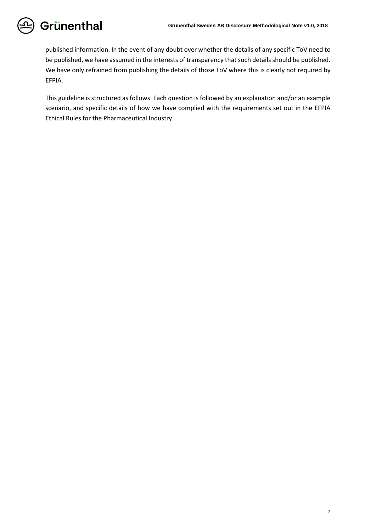published information. In the event of any doubt over whether the details of any specific ToV need to be published, we have assumed in the interests of transparency that such details should be published. We have only refrained from publishing the details of those ToV where this is clearly not required by EFPIA.

This guideline is structured as follows: Each question is followed by an explanation and/or an example scenario, and specific details of how we have complied with the requirements set out in the EFPIA Ethical Rules for the Pharmaceutical Industry.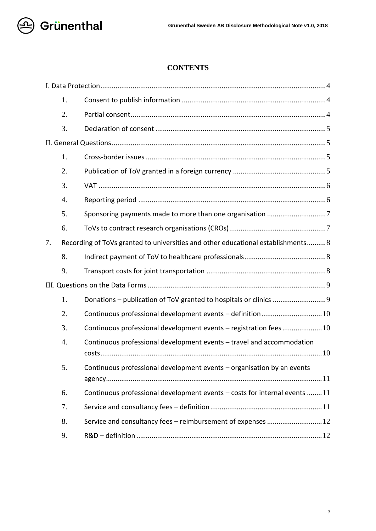

# **CONTENTS**

|    | 1.                                                                              |                                                                           |
|----|---------------------------------------------------------------------------------|---------------------------------------------------------------------------|
|    | 2.                                                                              |                                                                           |
|    | 3.                                                                              |                                                                           |
|    |                                                                                 |                                                                           |
|    | 1.                                                                              |                                                                           |
|    | 2.                                                                              |                                                                           |
|    | 3.                                                                              |                                                                           |
|    | 4.                                                                              |                                                                           |
|    | 5.                                                                              |                                                                           |
|    | 6.                                                                              |                                                                           |
| 7. | Recording of ToVs granted to universities and other educational establishments8 |                                                                           |
|    | 8.                                                                              |                                                                           |
|    | 9.                                                                              |                                                                           |
|    |                                                                                 |                                                                           |
|    | 1.                                                                              |                                                                           |
|    | 2.                                                                              |                                                                           |
|    | 3.                                                                              | Continuous professional development events - registration fees10          |
|    | 4.                                                                              | Continuous professional development events - travel and accommodation     |
|    | 5.                                                                              | Continuous professional development events - organisation by an events    |
|    | 6.                                                                              | Continuous professional development events - costs for internal events 11 |
|    | 7.                                                                              |                                                                           |
|    | 8.                                                                              | Service and consultancy fees - reimbursement of expenses  12              |
|    | 9.                                                                              |                                                                           |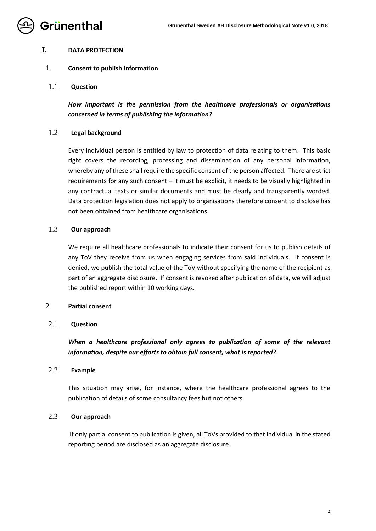

## <span id="page-3-0"></span>**I. DATA PROTECTION**

## <span id="page-3-1"></span>1. **Consent to publish information**

1.1 **Question**

*How important is the permission from the healthcare professionals or organisations concerned in terms of publishing the information?*

#### 1.2 **Legal background**

Every individual person is entitled by law to protection of data relating to them. This basic right covers the recording, processing and dissemination of any personal information, whereby any of these shall require the specific consent of the person affected. There are strict requirements for any such consent – it must be explicit, it needs to be visually highlighted in any contractual texts or similar documents and must be clearly and transparently worded. Data protection legislation does not apply to organisations therefore consent to disclose has not been obtained from healthcare organisations.

### 1.3 **Our approach**

We require all healthcare professionals to indicate their consent for us to publish details of any ToV they receive from us when engaging services from said individuals. If consent is denied, we publish the total value of the ToV without specifying the name of the recipient as part of an aggregate disclosure. If consent is revoked after publication of data, we will adjust the published report within 10 working days.

## <span id="page-3-2"></span>2. **Partial consent**

## 2.1 **Question**

*When a healthcare professional only agrees to publication of some of the relevant information, despite our efforts to obtain full consent, what is reported?*

#### 2.2 **Example**

This situation may arise, for instance, where the healthcare professional agrees to the publication of details of some consultancy fees but not others.

## 2.3 **Our approach**

If only partial consent to publication is given, all ToVs provided to that individual in the stated reporting period are disclosed as an aggregate disclosure.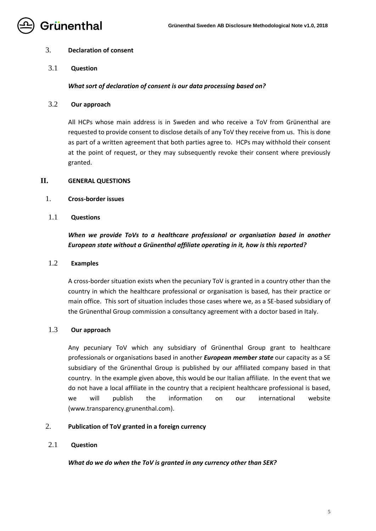

## <span id="page-4-0"></span>3. **Declaration of consent**

3.1 **Question**

## *What sort of declaration of consent is our data processing based on?*

3.2 **Our approach**

All HCPs whose main address is in Sweden and who receive a ToV from Grünenthal are requested to provide consent to disclose details of any ToV they receive from us. This is done as part of a written agreement that both parties agree to. HCPs may withhold their consent at the point of request, or they may subsequently revoke their consent where previously granted.

#### <span id="page-4-1"></span>**II. GENERAL QUESTIONS**

- <span id="page-4-2"></span>1. **Cross-border issues**
- 1.1 **Questions**

## *When we provide ToVs to a healthcare professional or organisation based in another European state without a Grünenthal affiliate operating in it, how is this reported?*

#### 1.2 **Examples**

A cross-border situation exists when the pecuniary ToV is granted in a country other than the country in which the healthcare professional or organisation is based, has their practice or main office. This sort of situation includes those cases where we, as a SE-based subsidiary of the Grünenthal Group commission a consultancy agreement with a doctor based in Italy.

### 1.3 **Our approach**

Any pecuniary ToV which any subsidiary of Grünenthal Group grant to healthcare professionals or organisations based in another *European member state* our capacity as a SE subsidiary of the Grünenthal Group is published by our affiliated company based in that country. In the example given above, this would be our Italian affiliate. In the event that we do not have a local affiliate in the country that a recipient healthcare professional is based, we will publish the information on our international website (www.transparency.grunenthal.com).

## <span id="page-4-3"></span>2. **Publication of ToV granted in a foreign currency**

## 2.1 **Question**

*What do we do when the ToV is granted in any currency other than SEK?*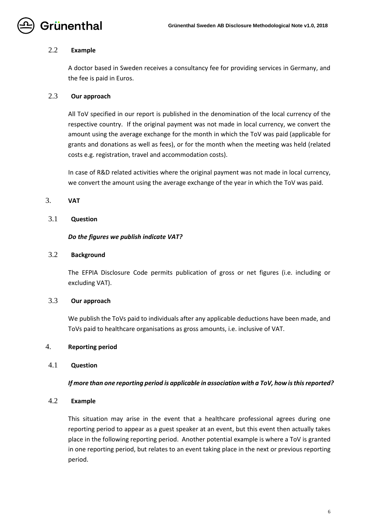

## 2.2 **Example**

A doctor based in Sweden receives a consultancy fee for providing services in Germany, and the fee is paid in Euros.

## 2.3 **Our approach**

All ToV specified in our report is published in the denomination of the local currency of the respective country. If the original payment was not made in local currency, we convert the amount using the average exchange for the month in which the ToV was paid (applicable for grants and donations as well as fees), or for the month when the meeting was held (related costs e.g. registration, travel and accommodation costs).

In case of R&D related activities where the original payment was not made in local currency, we convert the amount using the average exchange of the year in which the ToV was paid.

## <span id="page-5-0"></span>3. **VAT**

## 3.1 **Question**

## *Do the figures we publish indicate VAT?*

## 3.2 **Background**

The EFPIA Disclosure Code permits publication of gross or net figures (i.e. including or excluding VAT).

## 3.3 **Our approach**

We publish the ToVs paid to individuals after any applicable deductions have been made, and ToVs paid to healthcare organisations as gross amounts, i.e. inclusive of VAT.

## <span id="page-5-1"></span>4. **Reporting period**

## 4.1 **Question**

## *If more than one reporting period is applicable in association with a ToV, how is this reported?*

## 4.2 **Example**

This situation may arise in the event that a healthcare professional agrees during one reporting period to appear as a guest speaker at an event, but this event then actually takes place in the following reporting period. Another potential example is where a ToV is granted in one reporting period, but relates to an event taking place in the next or previous reporting period.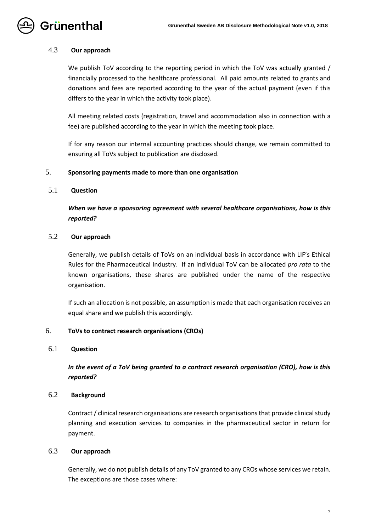

## 4.3 **Our approach**

We publish ToV according to the reporting period in which the ToV was actually granted / financially processed to the healthcare professional. All paid amounts related to grants and donations and fees are reported according to the year of the actual payment (even if this differs to the year in which the activity took place).

All meeting related costs (registration, travel and accommodation also in connection with a fee) are published according to the year in which the meeting took place.

If for any reason our internal accounting practices should change, we remain committed to ensuring all ToVs subject to publication are disclosed.

#### <span id="page-6-0"></span>5. **Sponsoring payments made to more than one organisation**

## 5.1 **Question**

*When we have a sponsoring agreement with several healthcare organisations, how is this reported?*

## 5.2 **Our approach**

Generally, we publish details of ToVs on an individual basis in accordance with LIF's Ethical Rules for the Pharmaceutical Industry. If an individual ToV can be allocated *pro rata* to the known organisations, these shares are published under the name of the respective organisation.

If such an allocation is not possible, an assumption is made that each organisation receives an equal share and we publish this accordingly.

#### <span id="page-6-1"></span>6. **ToVs to contract research organisations (CROs)**

## 6.1 **Question**

*In the event of a ToV being granted to a contract research organisation (CRO), how is this reported?*

#### 6.2 **Background**

Contract / clinical research organisations are research organisations that provide clinical study planning and execution services to companies in the pharmaceutical sector in return for payment.

## 6.3 **Our approach**

Generally, we do not publish details of any ToV granted to any CROs whose services we retain. The exceptions are those cases where: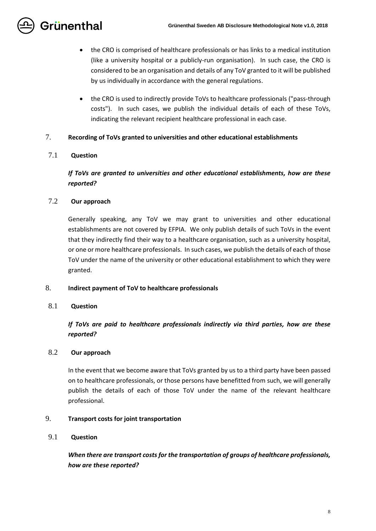- the CRO is comprised of healthcare professionals or has links to a medical institution (like a university hospital or a publicly-run organisation). In such case, the CRO is considered to be an organisation and details of any ToV granted to it will be published by us individually in accordance with the general regulations.
- the CRO is used to indirectly provide ToVs to healthcare professionals ("pass-through costs"). In such cases, we publish the individual details of each of these ToVs, indicating the relevant recipient healthcare professional in each case.

## <span id="page-7-0"></span>7. **Recording of ToVs granted to universities and other educational establishments**

## 7.1 **Question**

# *If ToVs are granted to universities and other educational establishments, how are these reported?*

## 7.2 **Our approach**

Generally speaking, any ToV we may grant to universities and other educational establishments are not covered by EFPIA. We only publish details of such ToVs in the event that they indirectly find their way to a healthcare organisation, such as a university hospital, or one or more healthcare professionals. In such cases, we publish the details of each of those ToV under the name of the university or other educational establishment to which they were granted.

## <span id="page-7-1"></span>8. **Indirect payment of ToV to healthcare professionals**

## 8.1 **Question**

*If ToVs are paid to healthcare professionals indirectly via third parties, how are these reported?*

## 8.2 **Our approach**

In the event that we become aware that ToVs granted by us to a third party have been passed on to healthcare professionals, or those persons have benefitted from such, we will generally publish the details of each of those ToV under the name of the relevant healthcare professional.

## <span id="page-7-2"></span>9. **Transport costs for joint transportation**

## 9.1 **Question**

*When there are transport costs for the transportation of groups of healthcare professionals, how are these reported?*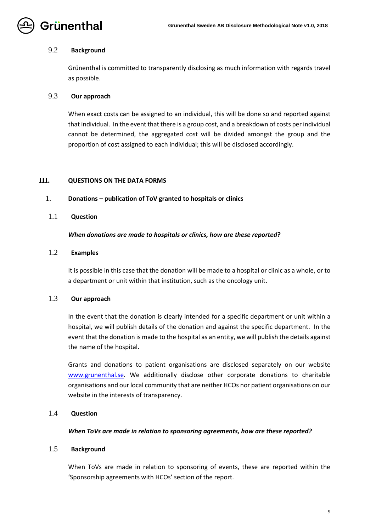

### 9.2 **Background**

Grünenthal is committed to transparently disclosing as much information with regards travel as possible.

## 9.3 **Our approach**

When exact costs can be assigned to an individual, this will be done so and reported against that individual. In the event that there is a group cost, and a breakdown of costs per individual cannot be determined, the aggregated cost will be divided amongst the group and the proportion of cost assigned to each individual; this will be disclosed accordingly.

## <span id="page-8-0"></span>**III. QUESTIONS ON THE DATA FORMS**

#### <span id="page-8-1"></span>1. **Donations – publication of ToV granted to hospitals or clinics**

#### 1.1 **Question**

#### *When donations are made to hospitals or clinics, how are these reported?*

## 1.2 **Examples**

It is possible in this case that the donation will be made to a hospital or clinic as a whole, or to a department or unit within that institution, such as the oncology unit.

## 1.3 **Our approach**

In the event that the donation is clearly intended for a specific department or unit within a hospital, we will publish details of the donation and against the specific department. In the event that the donation is made to the hospital as an entity, we will publish the details against the name of the hospital.

Grants and donations to patient organisations are disclosed separately on our website [www.grunenthal.se.](http://www.grunenthal.se/) We additionally disclose other corporate donations to charitable organisations and our local community that are neither HCOs nor patient organisations on our website in the interests of transparency.

## 1.4 **Question**

#### *When ToVs are made in relation to sponsoring agreements, how are these reported?*

## 1.5 **Background**

When ToVs are made in relation to sponsoring of events, these are reported within the 'Sponsorship agreements with HCOs' section of the report.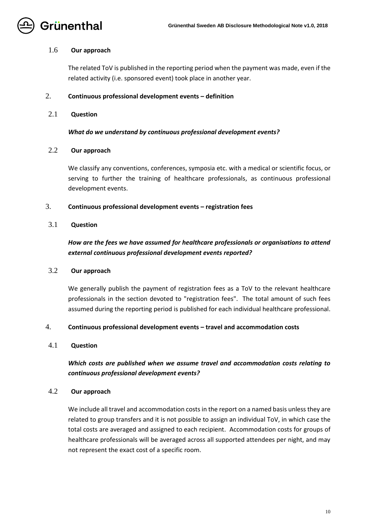

## 1.6 **Our approach**

The related ToV is published in the reporting period when the payment was made, even if the related activity (i.e. sponsored event) took place in another year.

#### <span id="page-9-0"></span>2. **Continuous professional development events – definition**

## 2.1 **Question**

*What do we understand by continuous professional development events?*

#### 2.2 **Our approach**

We classify any conventions, conferences, symposia etc. with a medical or scientific focus, or serving to further the training of healthcare professionals, as continuous professional development events.

## <span id="page-9-1"></span>3. **Continuous professional development events – registration fees**

## 3.1 **Question**

# *How are the fees we have assumed for healthcare professionals or organisations to attend external continuous professional development events reported?*

## 3.2 **Our approach**

We generally publish the payment of registration fees as a ToV to the relevant healthcare professionals in the section devoted to "registration fees". The total amount of such fees assumed during the reporting period is published for each individual healthcare professional.

## <span id="page-9-2"></span>4. **Continuous professional development events – travel and accommodation costs**

## 4.1 **Question**

## *Which costs are published when we assume travel and accommodation costs relating to continuous professional development events?*

## 4.2 **Our approach**

We include all travel and accommodation costs in the report on a named basis unless they are related to group transfers and it is not possible to assign an individual ToV, in which case the total costs are averaged and assigned to each recipient. Accommodation costs for groups of healthcare professionals will be averaged across all supported attendees per night, and may not represent the exact cost of a specific room.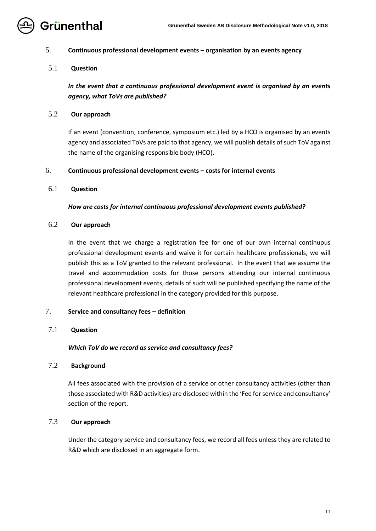

## <span id="page-10-0"></span>5. **Continuous professional development events – organisation by an events agency**

## 5.1 **Question**

*In the event that a continuous professional development event is organised by an events agency, what ToVs are published?*

## 5.2 **Our approach**

If an event (convention, conference, symposium etc.) led by a HCO is organised by an events agency and associated ToVs are paid to that agency, we will publish details of such ToV against the name of the organising responsible body (HCO).

## <span id="page-10-1"></span>6. **Continuous professional development events – costs for internal events**

## 6.1 **Question**

## *How are costs for internal continuous professional development events published?*

## 6.2 **Our approach**

In the event that we charge a registration fee for one of our own internal continuous professional development events and waive it for certain healthcare professionals, we will publish this as a ToV granted to the relevant professional. In the event that we assume the travel and accommodation costs for those persons attending our internal continuous professional development events, details of such will be published specifying the name of the relevant healthcare professional in the category provided for this purpose.

## <span id="page-10-2"></span>7. **Service and consultancy fees – definition**

## 7.1 **Question**

## *Which ToV do we record as service and consultancy fees?*

## 7.2 **Background**

All fees associated with the provision of a service or other consultancy activities (other than those associated with R&D activities) are disclosed within the 'Fee for service and consultancy' section of the report.

## 7.3 **Our approach**

Under the category service and consultancy fees, we record all fees unless they are related to R&D which are disclosed in an aggregate form.